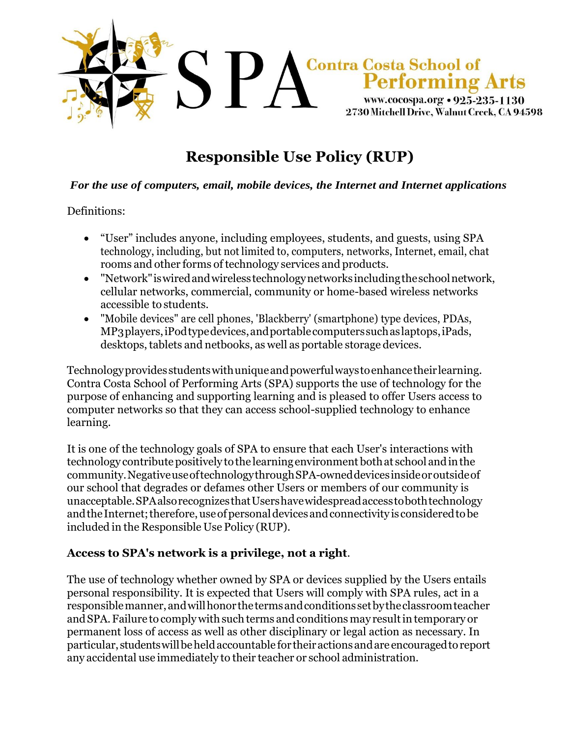

# **Responsible Use Policy (RUP)**

#### *For the use of computers, email, mobile devices, the Internet and Internet applications*

#### Definitions:

- "User" includes anyone, including employees, students, and guests, using SPA technology, including, but not limited to, computers, networks, Internet, email, chat rooms and other forms of technology services and products.
- "Network"iswiredandwirelesstechnologynetworksincludingtheschoolnetwork, cellular networks, commercial, community or home-based wireless networks accessible to students.
- "Mobile devices" are cell phones, 'Blackberry' (smartphone) type devices, PDAs, MP3players,iPodtypedevices,andportablecomputerssuchaslaptops,iPads, desktops, tablets and netbooks, as well as portable storage devices.

Technologyprovidesstudentswithuniqueandpowerfulwaystoenhancetheir learning. Contra Costa School of Performing Arts (SPA) supports the use of technology for the purpose of enhancing and supporting learning and is pleased to offer Users access to computer networks so that they can access school-supplied technology to enhance learning.

It is one of the technology goals of SPA to ensure that each User's interactions with technology contribute positively to the learning environment both at school and in the community.NegativeuseoftechnologythroughSPA-owneddevicesinsideoroutsideof our school that degrades or defames other Users or members of our community is unacceptable.SPAalsorecognizesthatUsershavewidespreadaccesstobothtechnology and the Internet; therefore, use of personal devices and connectivity is considered to be included in the Responsible Use Policy (RUP).

#### **Access to SPA's network is a privilege, not a right**.

The use of technology whether owned by SPA or devices supplied by the Users entails personal responsibility. It is expected that Users will comply with SPA rules, act in a responsiblemanner,andwillhonor thetermsandconditions setbytheclassroomteacher and SPA. Failure to comply with such terms and conditions may result in temporary or permanent loss of access as well as other disciplinary or legal action as necessary. In particular, studentswillbeheldaccountable for theiractionsandare encouragedtoreport any accidental use immediately to their teacher or school administration.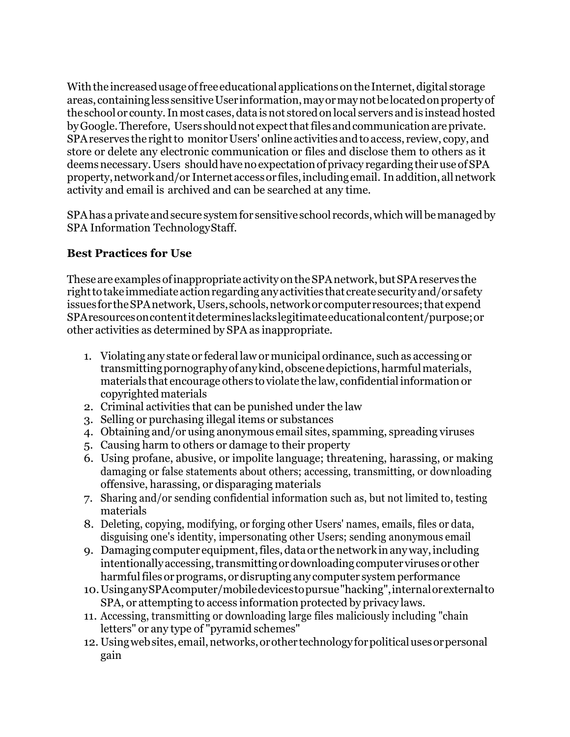With the increased usage of free educational applications on the Internet, digital storage areas, containingless sensitiveUserinformation,mayormaynotbelocatedonpropertyof the school or county. In most cases, data is not stored on local servers and is instead hosted by Google. Therefore, Users should not expect that files and communication are private. SPA reserves the right to monitor Users' online activities and to access, review, copy, and store or delete any electronic communication or files and disclose them to others as it deemsnecessary.Users shouldhavenoexpectationofprivacy regardingtheiruseofSPA property,networkand/or Internetaccessor files,includingemail. Inaddition,allnetwork activity and email is archived and can be searched at any time.

SPA has a private and secure system for sensitive school records, which will be managed by SPA Information TechnologyStaff.

#### **Best Practices for Use**

These are examples of inappropriate activity on the SPA network, but SPA reserves the righttotakeimmediate actionregardinganyactivities that createsecurityand/or safety issuesfortheSPAnetwork,Users, schools,networkorcomputerresources;thatexpend SPAresourcesoncontentitdetermineslackslegitimateeducationalcontent/purpose;or other activities as determined by SPA as inappropriate.

- 1. Violating any state or federal law ormunicipal ordinance, such as accessing or transmitting pornography of any kind, obscene depictions, harmful materials, materials that encourage others to violate the law, confidentialinformationor copyrighted materials
- 2. Criminal activities that can be punished under the law
- 3. Selling or purchasing illegal items or substances
- 4. Obtaining and/or using anonymous email sites, spamming, spreading viruses
- 5. Causing harm to others or damage to their property
- 6. Using profane, abusive, or impolite language; threatening, harassing, or making damaging or false statements about others; accessing, transmitting, or downloading offensive, harassing, or disparaging materials
- 7. Sharing and/or sending confidential information such as, but not limited to, testing materials
- 8. Deleting, copying, modifying, or forging other Users' names, emails, files or data, disguising one's identity, impersonating other Users; sending anonymous email
- 9. Damaging computer equipment, files, data or the network in any way, including intentionally accessing, transmitting or downloading computer viruses or other harmful files or programs, or disrupting any computer system performance
- 10.UsinganySPAcomputer/mobiledevicestopursue"hacking",internalorexternalto SPA, or attempting to access information protected by privacy laws.
- 11. Accessing, transmitting or downloading large files maliciously including "chain letters" or any type of "pyramid schemes"
- 12. Usingwebsites,email,networks,orother technologyforpoliticalusesorpersonal gain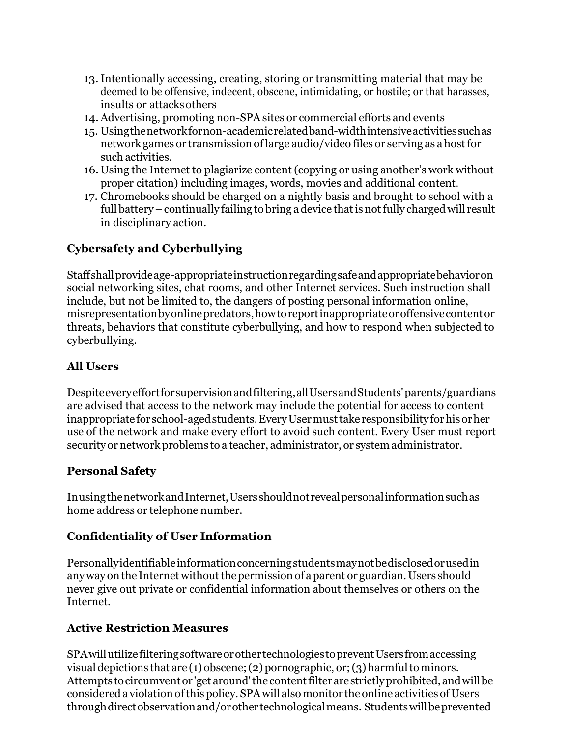- 13.Intentionally accessing, creating, storing or transmitting material that may be deemed to be offensive, indecent, obscene, intimidating, or hostile; or that harasses, insults or attacksothers
- 14.Advertising, promoting non-SPA sites or commercial efforts and events
- 15. Usingthenetworkfornon-academicrelatedband-widthintensiveactivitiessuchas network games or transmission oflarge audio/video files or serving as a hostfor such activities.
- 16. Using the Internet to plagiarize content (copying or using another's work without proper citation) including images, words, movies and additional content.
- 17. Chromebooks should be charged on a nightly basis and brought to school with a full battery – continually failing to bring a device that is not fully charged will result in disciplinary action.

## **Cybersafety and Cyberbullying**

Staffshallprovideage-appropriateinstructionregardingsafeandappropriatebehavioron social networking sites, chat rooms, and other Internet services. Such instruction shall include, but not be limited to, the dangers of posting personal information online, misrepresentationbyonlinepredators,howtoreportinappropriateoroffensivecontentor threats, behaviors that constitute cyberbullying, and how to respond when subjected to cyberbullying.

## **All Users**

Despiteeveryeffortforsupervisionandfiltering,allUsersandStudents'parents/guardians are advised that access to the network may include the potential for access to content inappropriatefor school-agedstudents.EveryUsermusttakeresponsibility forhisorher use of the network and make every effort to avoid such content. Every User must report security or network problems to a teacher, administrator, or systemadministrator.

#### **Personal Safety**

InusingthenetworkandInternet,Usersshouldnotrevealpersonalinformationsuchas home address or telephone number.

## **Confidentiality of User Information**

Personallyidentifiableinformationconcerningstudentsmaynotbedisclosedorusedin any way on the Internet without the permission of a parent or guardian. Users should never give out private or confidential information about themselves or others on the Internet.

## **Active Restriction Measures**

SPAwillutilizefilteringsoftwareorothertechnologiestopreventUsersfromaccessing visual depictions that are (1) obscene; (2) pornographic, or; (3) harmful to minors. Attempts to circumvent or 'get around' the content filter are strictly prohibited, and will be considered a violation of this policy. SPA will also monitor the online activities of Users throughdirectobservationand/orothertechnologicalmeans. Studentswillbeprevented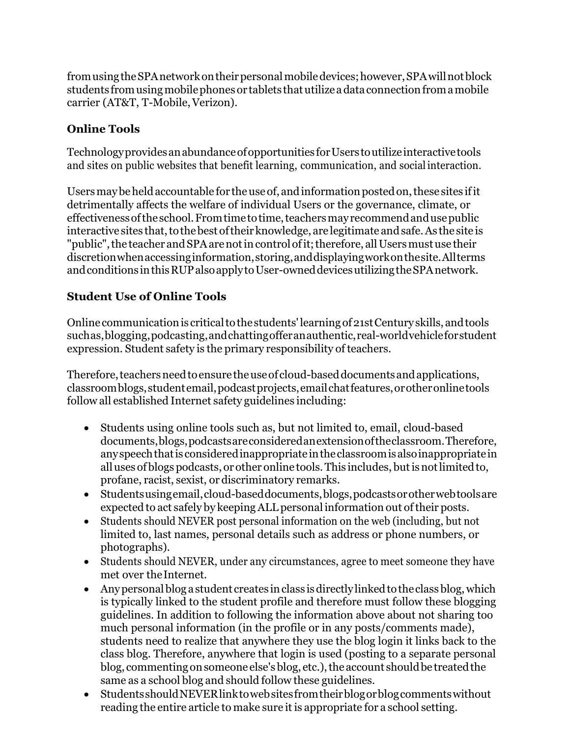from using the SPA network on their personal mobile devices; however, SPA will not block students from using mobile phones or tablets that utilize a data connection from a mobile carrier (AT&T, T-Mobile,Verizon).

#### **Online Tools**

Technology provides an abundance of opportunities for Users to utilize interactive tools and sites on public websites that benefit learning, communication, and socialinteraction.

Users may be held accountable for the use of, and information posted on, these sites if it detrimentally affects the welfare of individual Users or the governance, climate, or effectivenessoftheschool.Fromtimetotime,teachersmayrecommendandusepublic interactive sites that, to the best of their knowledge, are legitimate and safe. As the site is "public", the teacher and SPA are not in control of it; therefore, all Users must use their discretionwhenaccessinginformation,storing,anddisplayingworkonthesite.Allterms and conditions in this RUP also apply to User-owned devices utilizing the SPA network.

## **Student Use of Online Tools**

Online communicationis criticaltothestudents'learningof21stCenturyskills, andtools suchas,blogging,podcasting,andchattingofferanauthentic,real-worldvehicleforstudent expression. Student safety is the primary responsibility of teachers.

Therefore, teachers need to ensure the use of cloud-based documents and applications, classroomblogs,studentemail,podcastprojects,emailchatfeatures,orotheronlinetools follow all established Internet safety guidelines including:

- Students using online tools such as, but not limited to, email, cloud-based documents,blogs,podcastsareconsideredanextensionoftheclassroom.Therefore, anyspeechthatis consideredinappropriateintheclassroomisalsoinappropriatein alluses of blogs podcasts, or other online tools. This includes, but is not limited to, profane, racist, sexist, or discriminatory remarks.
- Studentsusingemail,cloud-baseddocuments,blogs,podcastsorotherwebtoolsare expected to act safely by keepingALL personal information out oftheir posts.
- Students should NEVER post personal information on the web (including, but not limited to, last names, personal details such as address or phone numbers, or photographs).
- Students should NEVER, under any circumstances, agree to meet someone they have met over theInternet.
- Any personal blog a student creates in class is directly linked to the class blog, which is typically linked to the student profile and therefore must follow these blogging guidelines. In addition to following the information above about not sharing too much personal information (in the profile or in any posts/comments made), students need to realize that anywhere they use the blog login it links back to the class blog. Therefore, anywhere that login is used (posting to a separate personal blog, commenting on someone else's blog, etc.), the account should be treated the same as a school blog and should follow these guidelines.
- StudentsshouldNEVERlinktowebsitesfromtheirblogorblogcommentswithout reading the entire article to make sure it is appropriate for a school setting.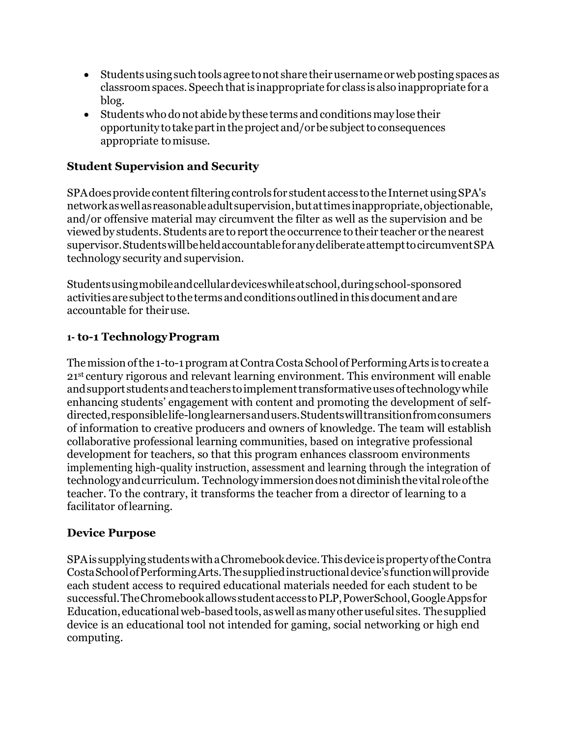- Students using such tools agree to not share their username or web posting spaces as classroomspaces. Speechthatis inappropriate for class is also inappropriate for a blog.
- Students who do not abide by these terms and conditions may lose their opportunity to take part in the project and/or be subject to consequences appropriate tomisuse.

#### **Student Supervision and Security**

SPA does provide content filtering controls for student access to the Internet using SPA's networkaswellasreasonableadultsupervision,butattimesinappropriate,objectionable, and/or offensive material may circumvent the filter as well as the supervision and be viewedby students. Students are to reportthe occurrence to their teacher or thenearest supervisor.StudentswillbeheldaccountableforanydeliberateattempttocircumventSPA technology security and supervision.

Studentsusingmobileandcellulardeviceswhileatschool,duringschool-sponsored activitiesaresubjecttotheterms andconditionsoutlinedinthisdocumentandare accountable for theiruse.

#### **1- to-1 TechnologyProgram**

The mission of the 1-to-1 program at Contra Costa School of Performing Arts is to create a 21st century rigorous and relevant learning environment. This environment will enable and support students and teachers to implement transformative uses of technology while enhancing students' engagement with content and promoting the development of selfdirected,responsiblelife-longlearnersandusers.Studentswilltransitionfromconsumers of information to creative producers and owners of knowledge. The team will establish collaborative professional learning communities, based on integrative professional development for teachers, so that this program enhances classroom environments implementing high-quality instruction, assessment and learning through the integration of technologyandcurriculum. Technologyimmersiondoesnotdiminishthevital roleofthe teacher. To the contrary, it transforms the teacher from a director of learning to a facilitator oflearning.

#### **Device Purpose**

SPAissupplyingstudentswithaChromebookdevice.ThisdeviceispropertyoftheContra CostaSchoolofPerformingArts.Thesuppliedinstructionaldevice'sfunctionwillprovide each student access to required educational materials needed for each student to be successful.TheChromebookallowsstudentaccesstoPLP,PowerSchool,GoogleAppsfor Education, educationalweb-basedtools, aswell asmanyotheruseful sites. Thesupplied device is an educational tool not intended for gaming, social networking or high end computing.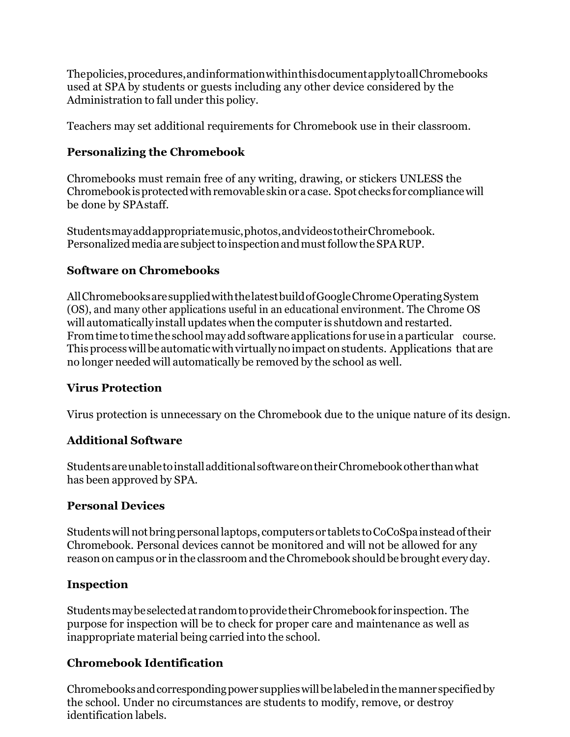Thepolicies,procedures,andinformationwithinthisdocumentapplytoallChromebooks used at SPA by students or guests including any other device considered by the Administration to fall under this policy.

Teachers may set additional requirements for Chromebook use in their classroom.

## **Personalizing the Chromebook**

Chromebooks must remain free of any writing, drawing, or stickers UNLESS the Chromebook is protected with removable skin or a case. Spot checks for compliance will be done by SPAstaff.

Studentsmayaddappropriatemusic,photos,andvideostotheirChromebook. Personalized media are subject to inspection and must follow the SPARUP.

#### **Software on Chromebooks**

AllChromebooksaresuppliedwiththelatestbuildofGoogleChromeOperatingSystem (OS), and many other applications useful in an educational environment. The Chrome OS will automatically install updates when the computer is shutdown and restarted. From time to time the school may add software applications for use in a particular course. This process will be automatic with virtually no impact on students. Applications that are no longer needed will automatically be removed by the school as well.

#### **Virus Protection**

Virus protection is unnecessary on the Chromebook due to the unique nature of its design.

## **Additional Software**

StudentsareunabletoinstalladditionalsoftwareontheirChromebookotherthanwhat has been approved by SPA.

#### **Personal Devices**

Studentswillnotbringpersonallaptops, computersor tablets toCoCoSpainsteadoftheir Chromebook. Personal devices cannot be monitored and will not be allowed for any reason on campus or in the classroom and the Chromebook should be brought every day.

#### **Inspection**

Studentsmaybeselectedat randomtoprovidetheirChromebookforinspection. The purpose for inspection will be to check for proper care and maintenance as well as inappropriate material being carried into the school.

## **Chromebook Identification**

Chromebooksandcorrespondingpower supplieswillbelabeledinthemanner specifiedby the school. Under no circumstances are students to modify, remove, or destroy identification labels.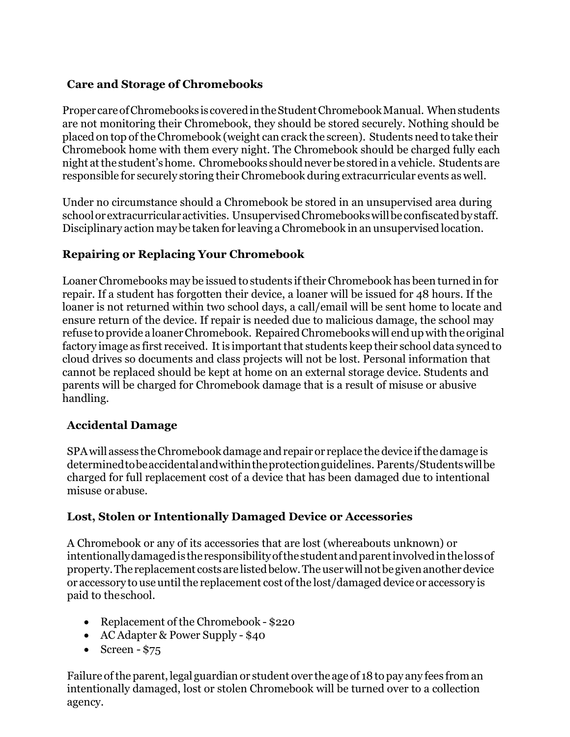## **Care and Storage of Chromebooks**

Proper care of Chromebooks is covered in the Student Chromebook Manual. When students are not monitoring their Chromebook, they should be stored securely. Nothing should be placed on top oftheChromebook (weight can crack the screen). Students need to take their Chromebook home with them every night. The Chromebook should be charged fully each night atthe student'shome. Chromebooks shouldnever be stored in a vehicle. Students are responsible for securely storing their Chromebook during extracurricular events as well.

Under no circumstance should a Chromebook be stored in an unsupervised area during schoolorextracurricularactivities. UnsupervisedChromebookswillbe confiscatedbystaff. Disciplinary action may be taken for leaving a Chromebook in an unsupervised location.

## **Repairing or Replacing Your Chromebook**

LoanerChromebooks may be issued to students iftheir Chromebook has been turned in for repair. If a student has forgotten their device, a loaner will be issued for 48 hours. If the loaner is not returned within two school days, a call/email will be sent home to locate and ensure return of the device. If repair is needed due to malicious damage, the school may refuse to provide a loaner Chromebook. Repaired Chromebooks will end up with the original factory image as first received. It is important that students keep their school data synced to cloud drives so documents and class projects will not be lost. Personal information that cannot be replaced should be kept at home on an external storage device. Students and parents will be charged for Chromebook damage that is a result of misuse or abusive handling.

## **Accidental Damage**

SPAwill assess theChromebookdamage andrepair or replace the device ifthedamage is determinedtobeaccidentalandwithintheprotectionguidelines. Parents/Studentswillbe charged for full replacement cost of a device that has been damaged due to intentional misuse orabuse.

## **Lost, Stolen or Intentionally Damaged Device or Accessories**

A Chromebook or any of its accessories that are lost (whereabouts unknown) or intentionallydamagedis theresponsibilityofthestudentandparentinvolvedinthelossof property.The replacement costsare listedbelow.Theuserwillnotbegivenanotherdevice or accessory to use until the replacement cost of the lost/damaged device or accessory is paid to theschool.

- Replacement of the Chromebook \$220
- AC Adapter & Power Supply \$40
- Screen  $-$  \$75

Failure ofthe parent, legal guardian or student over the age of 18topay any fees froman intentionally damaged, lost or stolen Chromebook will be turned over to a collection agency.